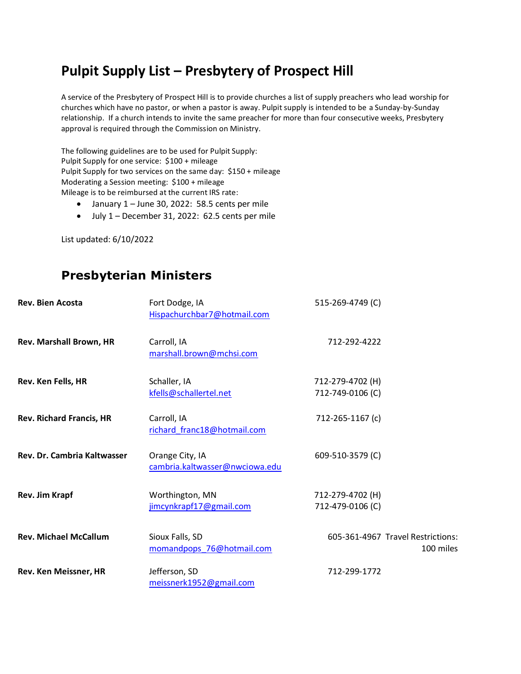## **Pulpit Supply List – Presbytery of Prospect Hill**

A service of the Presbytery of Prospect Hill is to provide churches a list of supply preachers who lead worship for churches which have no pastor, or when a pastor is away. Pulpit supply is intended to be a Sunday-by-Sunday relationship. If a church intends to invite the same preacher for more than four consecutive weeks, Presbytery approval is required through the Commission on Ministry.

The following guidelines are to be used for Pulpit Supply: Pulpit Supply for one service: \$100 + mileage Pulpit Supply for two services on the same day: \$150 + mileage Moderating a Session meeting: \$100 + mileage Mileage is to be reimbursed at the current IRS rate:

- January 1 June 30, 2022: 58.5 cents per mile
- July 1 December 31, 2022: 62.5 cents per mile

List updated: 6/10/2022

## **Presbyterian Ministers**

| <b>Rev. Bien Acosta</b>         | Fort Dodge, IA<br>Hispachurchbar7@hotmail.com     | 515-269-4749 (C)                     |                                                |
|---------------------------------|---------------------------------------------------|--------------------------------------|------------------------------------------------|
| Rev. Marshall Brown, HR         | Carroll, IA<br>marshall.brown@mchsi.com           | 712-292-4222                         |                                                |
| Rev. Ken Fells, HR              | Schaller, IA<br>kfells@schallertel.net            | 712-279-4702 (H)<br>712-749-0106 (C) |                                                |
| <b>Rev. Richard Francis, HR</b> | Carroll, IA<br>richard_franc18@hotmail.com        | 712-265-1167 (c)                     |                                                |
| Rev. Dr. Cambria Kaltwasser     | Orange City, IA<br>cambria.kaltwasser@nwciowa.edu | 609-510-3579 (C)                     |                                                |
| Rev. Jim Krapf                  | Worthington, MN<br>jimcynkrapf17@gmail.com        | 712-279-4702 (H)<br>712-479-0106 (C) |                                                |
| <b>Rev. Michael McCallum</b>    | Sioux Falls, SD<br>momandpops_76@hotmail.com      |                                      | 605-361-4967 Travel Restrictions:<br>100 miles |
| Rev. Ken Meissner, HR           | Jefferson, SD<br>meissnerk1952@gmail.com          | 712-299-1772                         |                                                |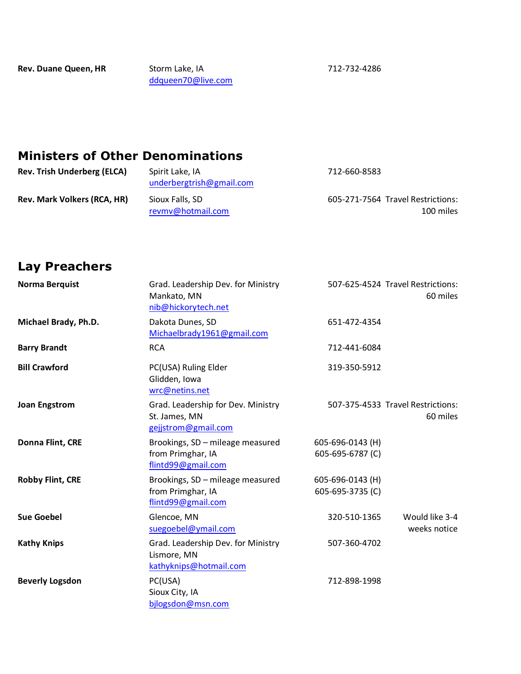[ddqueen70@live.com](mailto:ddqueen70@live.com)

712-732-4286

## **Ministers of Other Denominations**

| <b>Rev. Trish Underberg (ELCA)</b> | Spirit Lake, IA<br>underbergtrish@gmail.com | 712-660-8583                                   |
|------------------------------------|---------------------------------------------|------------------------------------------------|
| <b>Rev. Mark Volkers (RCA, HR)</b> | Sioux Falls, SD<br>revmv@hotmail.com        | 605-271-7564 Travel Restrictions:<br>100 miles |

## **Lay Preachers**

| <b>Norma Berquist</b>   | Grad. Leadership Dev. for Ministry<br>Mankato, MN<br>nib@hickorytech.net    |                                      | 507-625-4524 Travel Restrictions:<br>60 miles |
|-------------------------|-----------------------------------------------------------------------------|--------------------------------------|-----------------------------------------------|
| Michael Brady, Ph.D.    | Dakota Dunes, SD<br>Michaelbrady1961@gmail.com                              | 651-472-4354                         |                                               |
| <b>Barry Brandt</b>     | <b>RCA</b>                                                                  | 712-441-6084                         |                                               |
| <b>Bill Crawford</b>    | PC(USA) Ruling Elder<br>Glidden, Iowa<br>wrc@netins.net                     | 319-350-5912                         |                                               |
| <b>Joan Engstrom</b>    | Grad. Leadership for Dev. Ministry<br>St. James, MN<br>gejjstrom@gmail.com  |                                      | 507-375-4533 Travel Restrictions:<br>60 miles |
| Donna Flint, CRE        | Brookings, SD - mileage measured<br>from Primghar, IA<br>flintd99@gmail.com | 605-696-0143 (H)<br>605-695-6787 (C) |                                               |
| <b>Robby Flint, CRE</b> | Brookings, SD - mileage measured<br>from Primghar, IA<br>flintd99@gmail.com | 605-696-0143 (H)<br>605-695-3735 (C) |                                               |
| <b>Sue Goebel</b>       | Glencoe, MN<br>suegoebel@ymail.com                                          | 320-510-1365                         | Would like 3-4<br>weeks notice                |
| <b>Kathy Knips</b>      | Grad. Leadership Dev. for Ministry<br>Lismore, MN<br>kathyknips@hotmail.com | 507-360-4702                         |                                               |
| <b>Beverly Logsdon</b>  | PC(USA)<br>Sioux City, IA<br>bjlogsdon@msn.com                              | 712-898-1998                         |                                               |